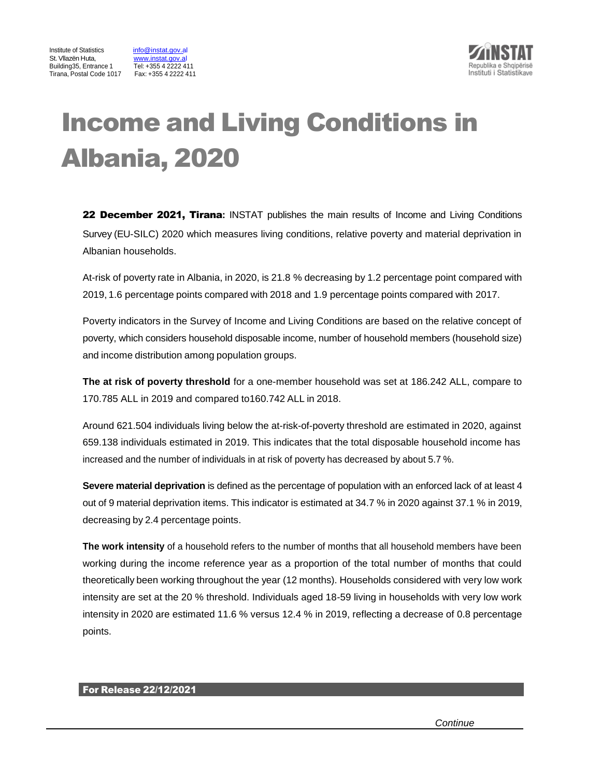



# Income and Living Conditions in Albania, 2020

22 December 2021, Tirana**:** INSTAT publishes the main results of Income and Living Conditions Survey (EU-SILC) 2020 which measures living conditions, relative poverty and material deprivation in Albanian households.

At-risk of poverty rate in Albania, in 2020, is 21.8 % decreasing by 1.2 percentage point compared with 2019, 1.6 percentage points compared with 2018 and 1.9 percentage points compared with 2017.

Poverty indicators in the Survey of Income and Living Conditions are based on the relative concept of poverty, which considers household disposable income, number of household members (household size) and income distribution among population groups.

**The at risk of poverty threshold** for a one-member household was set at 186.242 ALL, compare to 170.785 ALL in 2019 and compared to160.742 ALL in 2018.

Around 621.504 individuals living below the at-risk-of-poverty threshold are estimated in 2020, against 659.138 individuals estimated in 2019. This indicates that the total disposable household income has increased and the number of individuals in at risk of poverty has decreased by about 5.7 %.

**Severe material deprivation** is defined as the percentage of population with an enforced lack of at least 4 out of 9 material deprivation items. This indicator is estimated at 34.7 % in 2020 against 37.1 % in 2019, decreasing by 2.4 percentage points.

**The work intensity** of a household refers to the number of months that all household members have been working during the income reference year as a proportion of the total number of months that could theoretically been working throughout the year (12 months). Households considered with very low work intensity are set at the 20 % threshold. Individuals aged 18-59 living in households with very low work intensity in 2020 are estimated 11.6 % versus 12.4 % in 2019, reflecting a decrease of 0.8 percentage points.

## For Release 22/12/2021

*Continue*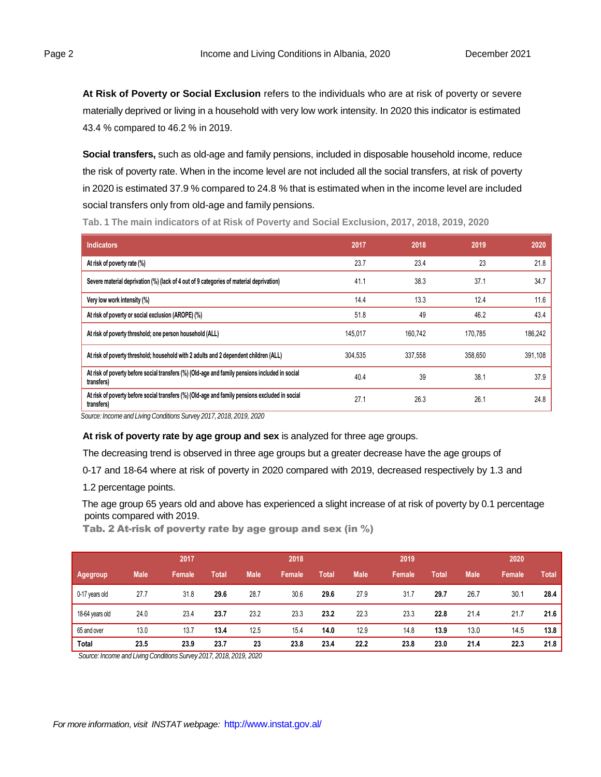**At Risk of Poverty or Social Exclusion** refers to the individuals who are at risk of poverty or severe materially deprived or living in a household with very low work intensity. In 2020 this indicator is estimated 43.4 % compared to 46.2 % in 2019.

**Social transfers,** such as old-age and family pensions, included in disposable household income, reduce the risk of poverty rate. When in the income level are not included all the social transfers, at risk of poverty in 2020 is estimated 37.9 % compared to 24.8 % that is estimated when in the income level are included social transfers only from old-age and family pensions.

**Tab. 1 The main indicators of at Risk of Poverty and Social Exclusion, 2017, 2018, 2019, 2020**

| <b>Indicators</b>                                                                                            | 2017    | 2018    | 2019    | 2020    |
|--------------------------------------------------------------------------------------------------------------|---------|---------|---------|---------|
| At risk of poverty rate (%)                                                                                  | 23.7    | 23.4    | 23      | 21.8    |
| Severe material deprivation (%) (lack of 4 out of 9 categories of material deprivation)                      | 41.1    | 38.3    | 37.1    | 34.7    |
| Very low work intensity (%)                                                                                  | 14.4    | 13.3    | 12.4    | 11.6    |
| At risk of poverty or social exclusion (AROPE) (%)                                                           | 51.8    | 49      | 46.2    | 43.4    |
| At risk of poverty threshold; one person household (ALL)                                                     | 145.017 | 160.742 | 170.785 | 186.242 |
| At risk of poverty threshold; household with 2 adults and 2 dependent children (ALL)                         | 304,535 | 337,558 | 358,650 | 391,108 |
| At risk of poverty before social transfers (%) (Old-age and family pensions included in social<br>transfers) | 40.4    | 39      | 38.1    | 37.9    |
| At risk of poverty before social transfers (%) (Old-age and family pensions excluded in social<br>transfers) | 27.1    | 26.3    | 26.1    | 24.8    |

*Source: Income and Living Conditions Survey 2017, 2018, 2019, 2020*

### **At risk of poverty rate by age group and sex** is analyzed for three age groups.

The decreasing trend is observed in three age groups but a greater decrease have the age groups of

0-17 and 18-64 where at risk of poverty in 2020 compared with 2019, decreased respectively by 1.3 and

1.2 percentage points.

The age group 65 years old and above has experienced a slight increase of at risk of poverty by 0.1 percentage points compared with 2019.

Tab. 2 At-risk of poverty rate by age group and sex (in %)

|                 |             | 2017   |       |             | 2018   |       |             | 2019   |       |             | 2020   |       |
|-----------------|-------------|--------|-------|-------------|--------|-------|-------------|--------|-------|-------------|--------|-------|
| Agegroup        | <b>Male</b> | Female | Total | <b>Male</b> | Female | Total | <b>Male</b> | Female | Total | <b>Male</b> | Female | Total |
| 0-17 years old  | 27.7        | 31.8   | 29.6  | 28.7        | 30.6   | 29.6  | 27.9        | 31.7   | 29.7  | 26.7        | 30.1   | 28.4  |
| 18-64 years old | 24.0        | 23.4   | 23.7  | 23.2        | 23.3   | 23.2  | 22.3        | 23.3   | 22.8  | 21.4        | 21.7   | 21.6  |
| 65 and over     | 13.0        | 13.7   | 13.4  | 12.5        | 15.4   | 14.0  | 12.9        | 14.8   | 13.9  | 13.0        | 14.5   | 13.8  |
| <b>Total</b>    | 23.5        | 23.9   | 23.7  | 23          | 23.8   | 23.4  | 22.2        | 23.8   | 23.0  | 21.4        | 22.3   | 21.8  |

*Source: Income and Living ConditionsSurvey 2017, 2018, 2019, 2020*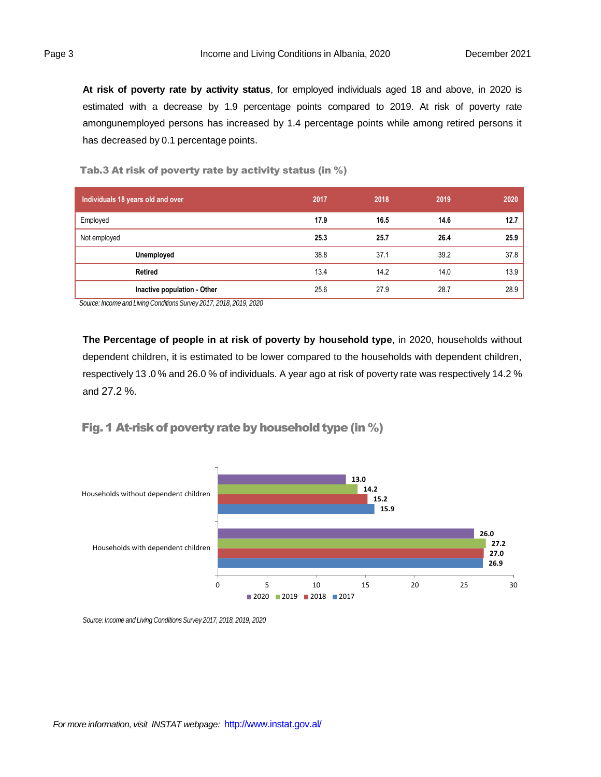**At risk of poverty rate by activity status**, for employed individuals aged 18 and above, in 2020 is estimated with a decrease by 1.9 percentage points compared to 2019. At risk of poverty rate amongunemployed persons has increased by 1.4 percentage points while among retired persons it has decreased by 0.1 percentage points.

Tab.3 At risk of poverty rate by activity status (in %)

| Individuals 18 years old and over | 2017 | 2018 | 2019 | 2020 |
|-----------------------------------|------|------|------|------|
| Employed                          | 17.9 | 16.5 | 14.6 | 12.7 |
| Not employed                      | 25.3 | 25.7 | 26.4 | 25.9 |
| Unemployed                        | 38.8 | 37.1 | 39.2 | 37.8 |
| <b>Retired</b>                    | 13.4 | 14.2 | 14.0 | 13.9 |
| Inactive population - Other       | 25.6 | 27.9 | 28.7 | 28.9 |

*Source: Income and Living Conditions Survey 2017, 2018, 2019, 2020*

**The Percentage of people in at risk of poverty by household type**, in 2020, households without dependent children, it is estimated to be lower compared to the households with dependent children, respectively 13 .0 % and 26.0 % of individuals. A year ago at risk of poverty rate was respectively 14.2 % and 27.2 %.

Fig. 1 At-risk of poverty rate by household type (in  $\%$ )



*Source: Income and Living ConditionsSurvey 2017, 2018, 2019, 2020*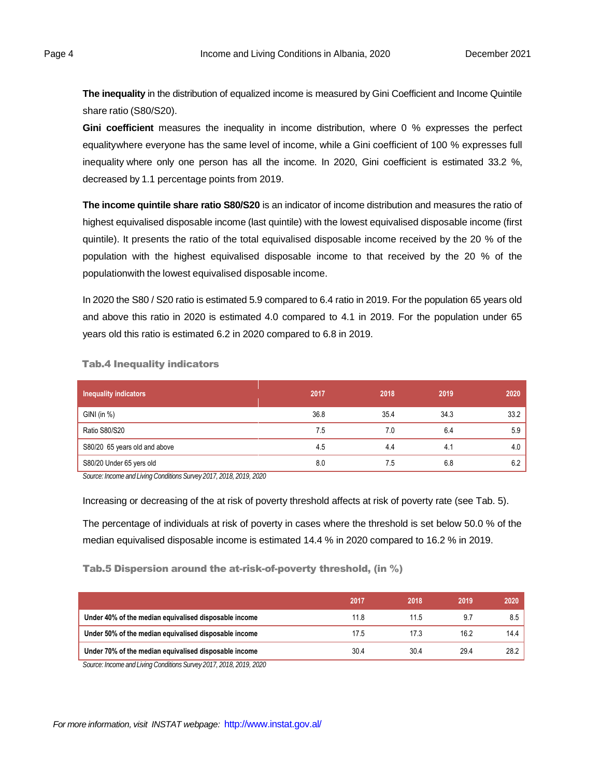**The inequality** in the distribution of equalized income is measured by Gini Coefficient and Income Quintile share ratio (S80/S20).

**Gini coefficient** measures the inequality in income distribution, where 0 % expresses the perfect equalitywhere everyone has the same level of income, while a Gini coefficient of 100 % expresses full inequality where only one person has all the income. In 2020, Gini coefficient is estimated 33.2 %, decreased by 1.1 percentage points from 2019.

**The income quintile share ratio S80/S20** is an indicator of income distribution and measures the ratio of highest equivalised disposable income (last quintile) with the lowest equivalised disposable income (first quintile). It presents the ratio of the total equivalised disposable income received by the 20 % of the population with the highest equivalised disposable income to that received by the 20 % of the populationwith the lowest equivalised disposable income.

In 2020 the S80 / S20 ratio is estimated 5.9 compared to 6.4 ratio in 2019. For the population 65 years old and above this ratio in 2020 is estimated 4.0 compared to 4.1 in 2019. For the population under 65 years old this ratio is estimated 6.2 in 2020 compared to 6.8 in 2019.

| <b>Inequality indicators</b>  | 2017 | 2018 | 2019 | 2020 |
|-------------------------------|------|------|------|------|
| $GINI$ (in $%$ )              | 36.8 | 35.4 | 34.3 | 33.2 |
| Ratio S80/S20                 | 7.5  | 7.0  | 6.4  | 5.9  |
| S80/20 65 years old and above | 4.5  | 4.4  | 4.1  | 4.0  |
| S80/20 Under 65 yers old      | 8.0  | 6. / | 6.8  | 6.2  |

Tab.4 Inequality indicators

*Source: Income and Living ConditionsSurvey 2017, 2018, 2019, 2020*

Increasing or decreasing of the at risk of poverty threshold affects at risk of poverty rate (see Tab. 5).

The percentage of individuals at risk of poverty in cases where the threshold is set below 50.0 % of the median equivalised disposable income is estimated 14.4 % in 2020 compared to 16.2 % in 2019.

#### Tab.5 Dispersion around the at-risk-of-poverty threshold, (in %)

| 2017 | 2018 | 2019 | 2020 |
|------|------|------|------|
| 11.8 | 11.5 | 9.7  | 8.5  |
| 17.5 | 17.3 | 16.2 | 14.4 |
| 30.4 | 30.4 | 29.4 | 28.2 |
|      |      |      |      |

*Source: Income and Living ConditionsSurvey 2017, 2018, 2019, 2020*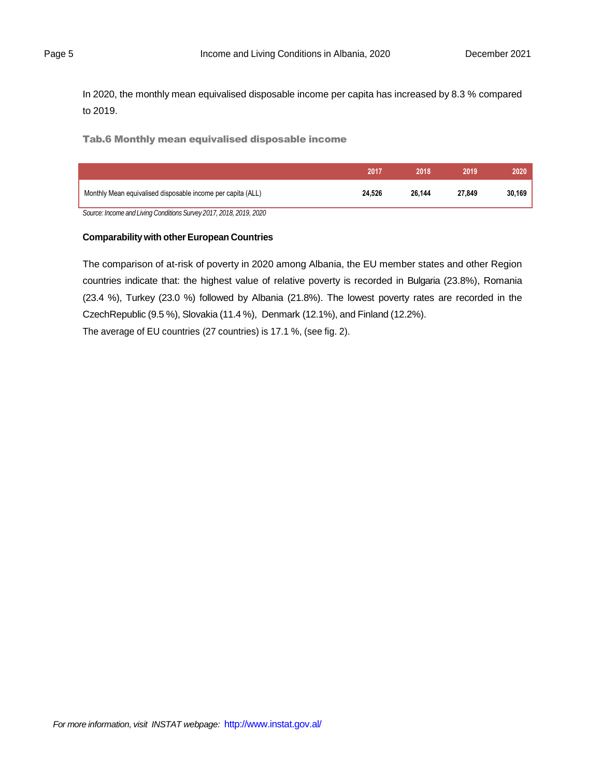In 2020, the monthly mean equivalised disposable income per capita has increased by 8.3 % compared to 2019.

Tab.6 Monthly mean equivalised disposable income

|                                                                    | 2017   | 2018   | 2019   | 2020   |
|--------------------------------------------------------------------|--------|--------|--------|--------|
| Monthly Mean equivalised disposable income per capita (ALL)        | 24.526 | 26.144 | 27.849 | 30.169 |
| Source: Income and Living Conditions Survey 2017, 2018, 2019, 2020 |        |        |        |        |

## **Comparabilitywith other European Countries**

The comparison of at-risk of poverty in 2020 among Albania, the EU member states and other Region countries indicate that: the highest value of relative poverty is recorded in Bulgaria (23.8%), Romania (23.4 %), Turkey (23.0 %) followed by Albania (21.8%). The lowest poverty rates are recorded in the CzechRepublic (9.5 %), Slovakia (11.4 %), Denmark (12.1%), and Finland (12.2%).

The average of EU countries (27 countries) is 17.1 %, (see fig. 2).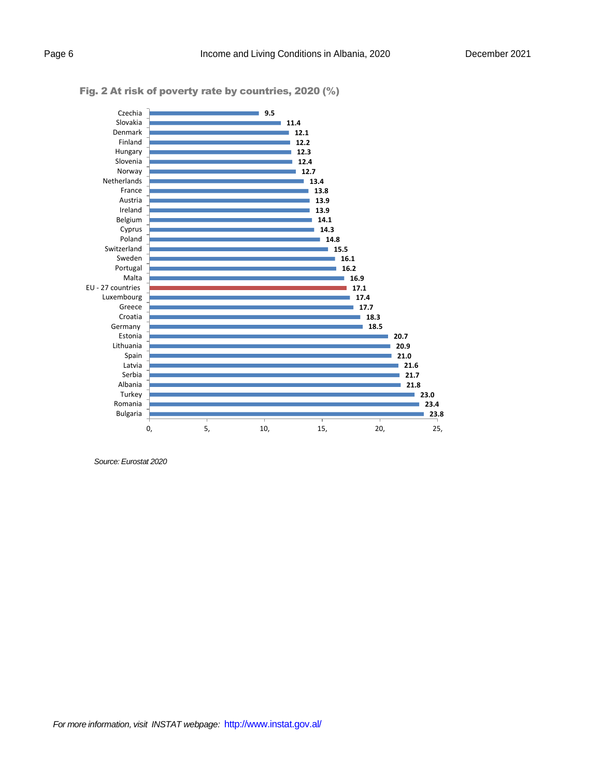

## Fig. 2 At risk of poverty rate by countries, 2020 (%)

*Source: Eurostat 2020*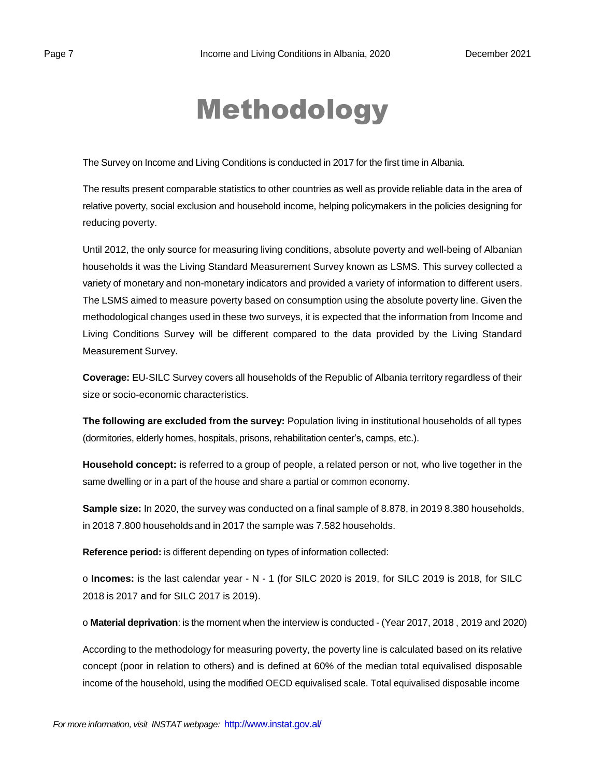# Methodology

The Survey on Income and Living Conditions is conducted in 2017 for the first time in Albania.

The results present comparable statistics to other countries as well as provide reliable data in the area of relative poverty, social exclusion and household income, helping policymakers in the policies designing for reducing poverty.

Until 2012, the only source for measuring living conditions, absolute poverty and well-being of Albanian households it was the Living Standard Measurement Survey known as LSMS. This survey collected a variety of monetary and non-monetary indicators and provided a variety of information to different users. The LSMS aimed to measure poverty based on consumption using the absolute poverty line. Given the methodological changes used in these two surveys, it is expected that the information from Income and Living Conditions Survey will be different compared to the data provided by the Living Standard Measurement Survey.

**Coverage:** EU-SILC Survey covers all households of the Republic of Albania territory regardless of their size or socio-economic characteristics.

**The following are excluded from the survey:** Population living in institutional households of all types (dormitories, elderly homes, hospitals, prisons, rehabilitation center's, camps, etc.).

**Household concept:** is referred to a group of people, a related person or not, who live together in the same dwelling or in a part of the house and share a partial or common economy.

**Sample size:** In 2020, the survey was conducted on a final sample of 8.878, in 2019 8.380 households, in 2018 7.800 households and in 2017 the sample was 7.582 households.

**Reference period:** is different depending on types of information collected:

o **Incomes:** is the last calendar year - N - 1 (for SILC 2020 is 2019, for SILC 2019 is 2018, for SILC 2018 is 2017 and for SILC 2017 is 2019).

o **Material deprivation**: is the moment when the interview is conducted - (Year 2017, 2018 , 2019 and 2020)

According to the methodology for measuring poverty, the poverty line is calculated based on its relative concept (poor in relation to others) and is defined at 60% of the median total equivalised disposable income of the household, using the modified OECD equivalised scale. Total equivalised disposable income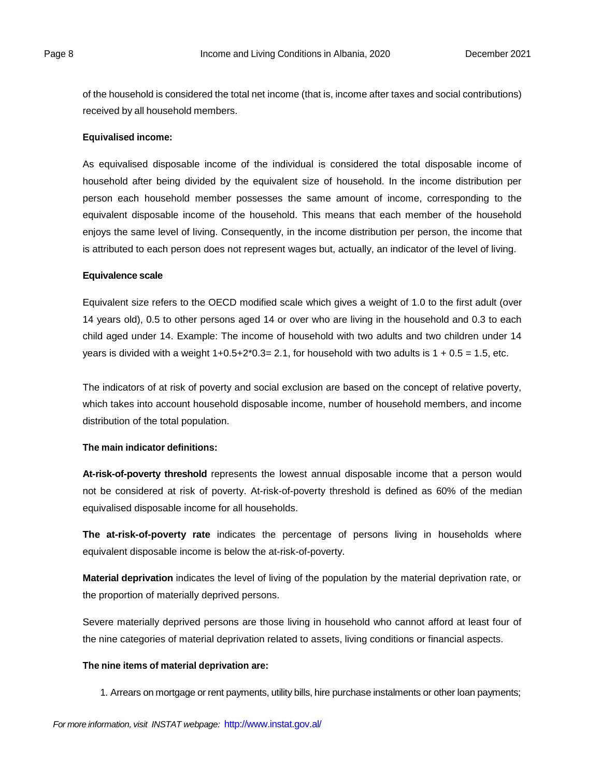of the household is considered the total net income (that is, income after taxes and social contributions) received by all household members.

### **Equivalised income:**

As equivalised disposable income of the individual is considered the total disposable income of household after being divided by the equivalent size of household. In the income distribution per person each household member possesses the same amount of income, corresponding to the equivalent disposable income of the household. This means that each member of the household enjoys the same level of living. Consequently, in the income distribution per person, the income that is attributed to each person does not represent wages but, actually, an indicator of the level of living.

### **Equivalence scale**

Equivalent size refers to the OECD modified scale which gives a weight of 1.0 to the first adult (over 14 years old), 0.5 to other persons aged 14 or over who are living in the household and 0.3 to each child aged under 14. Example: The income of household with two adults and two children under 14 years is divided with a weight  $1+0.5+2*0.3=2.1$ , for household with two adults is  $1 + 0.5 = 1.5$ , etc.

The indicators of at risk of poverty and social exclusion are based on the concept of relative poverty, which takes into account household disposable income, number of household members, and income distribution of the total population.

### **The main indicator definitions:**

**At-risk-of-poverty threshold** represents the lowest annual disposable income that a person would not be considered at risk of poverty. At-risk-of-poverty threshold is defined as 60% of the median equivalised disposable income for all households.

**The at-risk-of-poverty rate** indicates the percentage of persons living in households where equivalent disposable income is below the at-risk-of-poverty.

**Material deprivation** indicates the level of living of the population by the material deprivation rate, or the proportion of materially deprived persons.

Severe materially deprived persons are those living in household who cannot afford at least four of the nine categories of material deprivation related to assets, living conditions or financial aspects.

#### **The nine items of material deprivation are:**

1. Arrears on mortgage or rent payments, utility bills, hire purchase instalments or other loan payments;